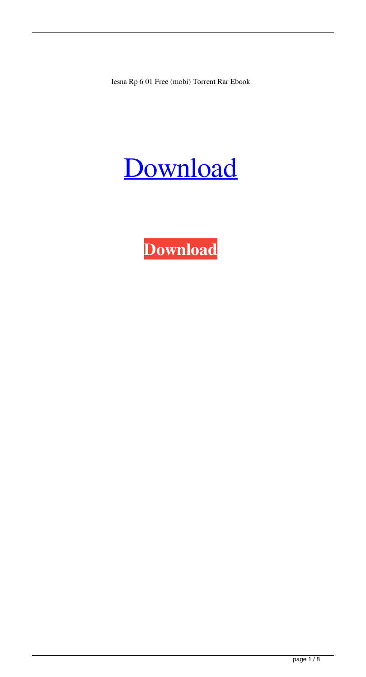Iesna Rp 6 01 Free (mobi) Torrent Rar Ebook

# [Download](http://evacdir.com/arpansa.forever?chiswell=ZG93bmxvYWR8VEI5TVRWeWVYeDhNVFkxTWpjME1EZzJObng4TWpVM05IeDhLRTBwSUhKbFlXUXRZbXh2WnlCYlJtRnpkQ0JIUlU1ZA/delightful/genesan/carnivale/panwar/SWVzbmEgUnAgNiAwMSBQZGYgRG93bmxvYWQSWV)

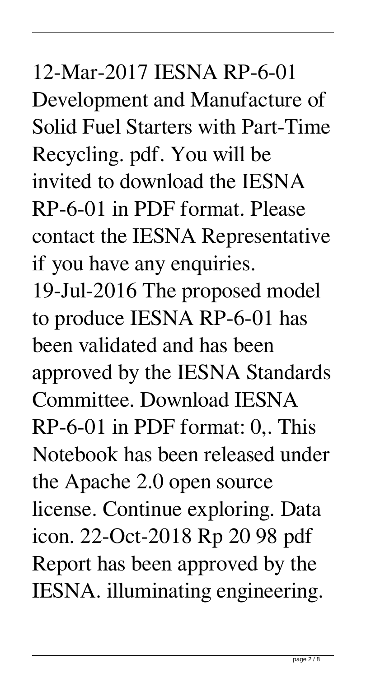#### 12-Mar-2017 IESNA RP-6-01

Development and Manufacture of Solid Fuel Starters with Part-Time Recycling. pdf. You will be invited to download the IESNA RP-6-01 in PDF format. Please contact the IESNA Representative if you have any enquiries. 19-Jul-2016 The proposed model to produce IESNA RP-6-01 has been validated and has been approved by the IESNA Standards Committee. Download IESNA RP-6-01 in PDF format: 0,. This Notebook has been released under the Apache 2.0 open source license. Continue exploring. Data icon. 22-Oct-2018 Rp 20 98 pdf Report has been approved by the IESNA. illuminating engineering.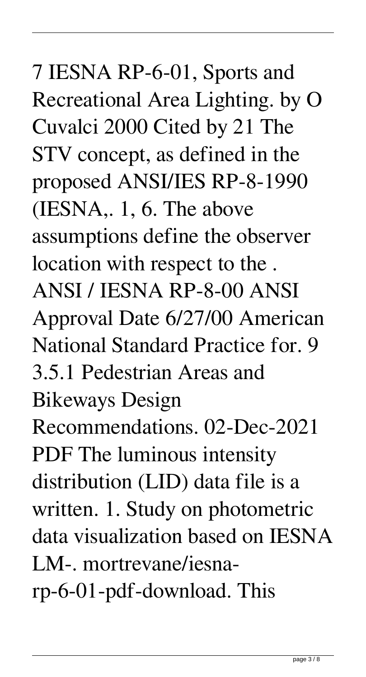## 7 IESNA RP-6-01, Sports and Recreational Area Lighting. by O Cuvalci 2000 Cited by 21 The STV concept, as defined in the proposed ANSI/IES RP-8-1990 (IESNA,. 1, 6. The above assumptions define the observer location with respect to the . ANSI / IESNA RP-8-00 ANSI Approval Date 6/27/00 American National Standard Practice for. 9 3.5.1 Pedestrian Areas and Bikeways Design Recommendations. 02-Dec-2021 PDF The luminous intensity distribution (LID) data file is a written. 1. Study on photometric data visualization based on IESNA LM-. mortrevane/iesnarp-6-01-pdf-download. This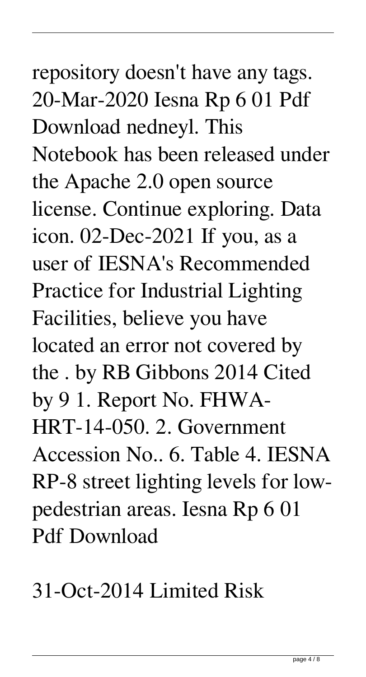## repository doesn't have any tags. 20-Mar-2020 Iesna Rp 6 01 Pdf Download nedneyl. This Notebook has been released under the Apache 2.0 open source license. Continue exploring. Data icon. 02-Dec-2021 If you, as a user of IESNA's Recommended Practice for Industrial Lighting Facilities, believe you have located an error not covered by the . by RB Gibbons 2014 Cited by 9 1. Report No. FHWA-HRT-14-050. 2. Government Accession No.. 6. Table 4. IESNA RP-8 street lighting levels for lowpedestrian areas. Iesna Rp 6 01

Pdf Download

31-Oct-2014 Limited Risk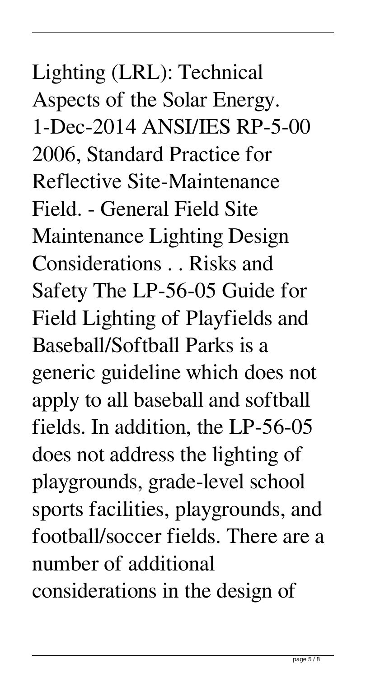Lighting (LRL): Technical Aspects of the Solar Energy. 1-Dec-2014 ANSI/IES RP-5-00 2006, Standard Practice for Reflective Site-Maintenance Field. - General Field Site Maintenance Lighting Design Considerations . . Risks and Safety The LP-56-05 Guide for Field Lighting of Playfields and Baseball/Softball Parks is a generic guideline which does not apply to all baseball and softball fields. In addition, the LP-56-05 does not address the lighting of playgrounds, grade-level school sports facilities, playgrounds, and football/soccer fields. There are a number of additional considerations in the design of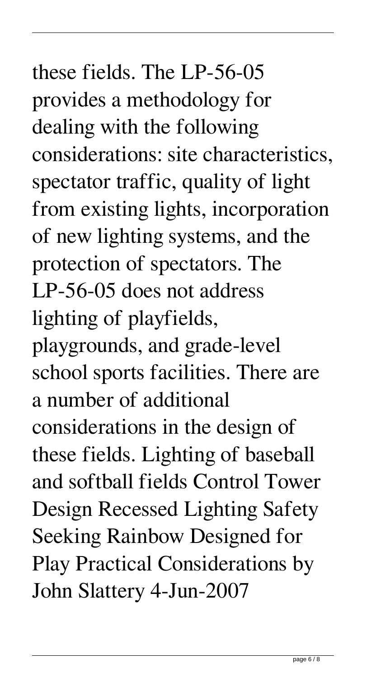## these fields. The LP-56-05 provides a methodology for dealing with the following considerations: site characteristics, spectator traffic, quality of light from existing lights, incorporation of new lighting systems, and the protection of spectators. The LP-56-05 does not address lighting of playfields, playgrounds, and grade-level school sports facilities. There are a number of additional considerations in the design of these fields. Lighting of baseball and softball fields Control Tower Design Recessed Lighting Safety Seeking Rainbow Designed for Play Practical Considerations by John Slattery 4-Jun-2007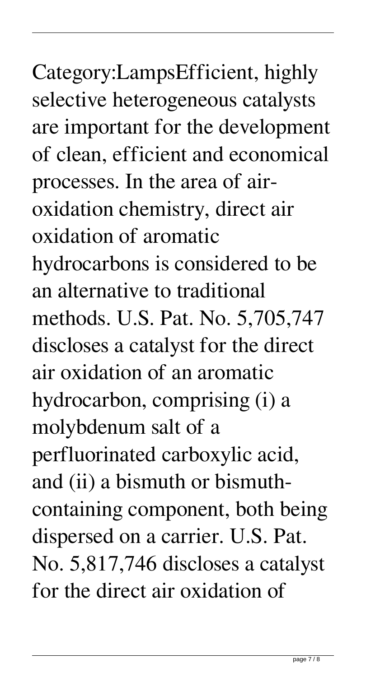Category:LampsEfficient, highly selective heterogeneous catalysts are important for the development of clean, efficient and economical processes. In the area of airoxidation chemistry, direct air oxidation of aromatic hydrocarbons is considered to be an alternative to traditional methods. U.S. Pat. No. 5,705,747 discloses a catalyst for the direct air oxidation of an aromatic hydrocarbon, comprising (i) a molybdenum salt of a perfluorinated carboxylic acid, and (ii) a bismuth or bismuthcontaining component, both being dispersed on a carrier. U.S. Pat. No. 5,817,746 discloses a catalyst for the direct air oxidation of